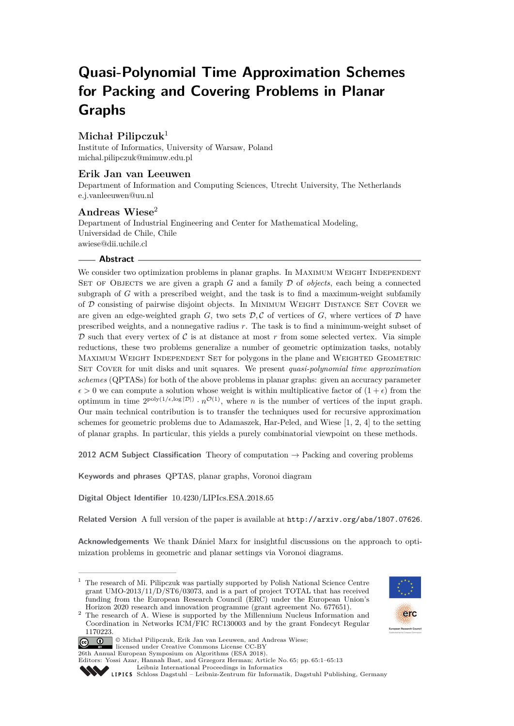# **Quasi-Polynomial Time Approximation Schemes for Packing and Covering Problems in Planar Graphs**

# **Michał Pilipczuk**<sup>1</sup>

Institute of Informatics, University of Warsaw, Poland [michal.pilipczuk@mimuw.edu.pl](mailto:michal.pilipczuk@mimuw.edu.pl)

# **Erik Jan van Leeuwen**

Department of Information and Computing Sciences, Utrecht University, The Netherlands [e.j.vanleeuwen@uu.nl](mailto:e.j.vanleeuwen@uu.nl)

# **Andreas Wiese**<sup>2</sup>

Department of Industrial Engineering and Center for Mathematical Modeling, Universidad de Chile, Chile [awiese@dii.uchile.cl](mailto:awiese@dii.uchile.cl)

## **Abstract**

We consider two optimization problems in planar graphs. In MAXIMUM WEIGHT INDEPENDENT Set of Objects we are given a graph *G* and a family D of *objects*, each being a connected subgraph of *G* with a prescribed weight, and the task is to find a maximum-weight subfamily of D consisting of pairwise disjoint objects. In Minimum Weight Distance Set Cover we are given an edge-weighted graph  $G$ , two sets  $D$ ,  $C$  of vertices of  $G$ , where vertices of  $D$  have prescribed weights, and a nonnegative radius *r*. The task is to find a minimum-weight subset of  $D$  such that every vertex of  $C$  is at distance at most  $r$  from some selected vertex. Via simple reductions, these two problems generalize a number of geometric optimization tasks, notably Maximum Weight Independent Set for polygons in the plane and Weighted Geometric Set Cover for unit disks and unit squares. We present *quasi-polynomial time approximation schemes* (QPTASs) for both of the above problems in planar graphs: given an accuracy parameter  $\epsilon > 0$  we can compute a solution whose weight is within multiplicative factor of  $(1 + \epsilon)$  from the optimum in time  $2^{poly(1/\epsilon, \log |\mathcal{D}|)} \cdot n^{\mathcal{O}(1)}$ , where *n* is the number of vertices of the input graph. Our main technical contribution is to transfer the techniques used for recursive approximation schemes for geometric problems due to Adamaszek, Har-Peled, and Wiese [\[1,](#page-12-0) [2,](#page-12-1) [4\]](#page-12-2) to the setting of planar graphs. In particular, this yields a purely combinatorial viewpoint on these methods.

**2012 ACM Subject Classification** Theory of computation → Packing and covering problems

**Keywords and phrases** QPTAS, planar graphs, Voronoi diagram

**Digital Object Identifier** [10.4230/LIPIcs.ESA.2018.65](http://dx.doi.org/10.4230/LIPIcs.ESA.2018.65)

**Related Version** A full version of the paper is available at <http://arxiv.org/abs/1807.07626>.

**Acknowledgements** We thank Dániel Marx for insightful discussions on the approach to optimization problems in geometric and planar settings via Voronoi diagrams.

<sup>&</sup>lt;sup>2</sup> The research of A. Wiese is supported by the Millennium Nucleus Information and Coordination in Networks ICM/FIC RC130003 and by the grant Fondecyt Regular 1170223.



© Michał Pilipczuk, Erik Jan van Leeuwen, and Andreas Wiese; licensed under Creative Commons License CC-BY

26th Annual European Symposium on Algorithms (ESA 2018).

<sup>&</sup>lt;sup>1</sup> The research of Mi. Pilipczuk was partially supported by Polish National Science Centre grant UMO-2013/11/D/ST6/03073, and is a part of project TOTAL that has received funding from the European Research Council (ERC) under the European Union's Horizon 2020 research and innovation programme (grant agreement No. 677651).

Editors: Yossi Azar, Hannah Bast, and Grzegorz Herman; Article No. 65; pp. 65:1–65[:13](#page-12-3)

[Leibniz International Proceedings in Informatics](http://www.dagstuhl.de/lipics/)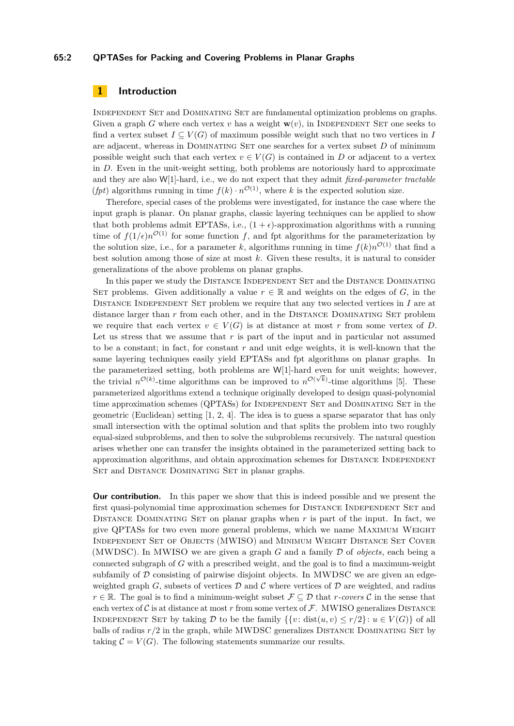#### **65:2 QPTASes for Packing and Covering Problems in Planar Graphs**

## **1 Introduction**

Independent Set and Dominating Set are fundamental optimization problems on graphs. Given a graph *G* where each vertex *v* has a weight  $\mathbf{w}(v)$ , in INDEPENDENT SET one seeks to find a vertex subset  $I \subseteq V(G)$  of maximum possible weight such that no two vertices in *I* are adjacent, whereas in DOMINATING SET one searches for a vertex subset  $D$  of minimum possible weight such that each vertex  $v \in V(G)$  is contained in *D* or adjacent to a vertex in *D*. Even in the unit-weight setting, both problems are notoriously hard to approximate and they are also W[1]-hard, i.e., we do not expect that they admit *fixed-parameter tractable (fpt)* algorithms running in time  $f(k) \cdot n^{\mathcal{O}(1)}$ , where *k* is the expected solution size.

Therefore, special cases of the problems were investigated, for instance the case where the input graph is planar. On planar graphs, classic layering techniques can be applied to show that both problems admit EPTASs, i.e.,  $(1 + \epsilon)$ -approximation algorithms with a running time of  $f(1/\epsilon)n^{\mathcal{O}(1)}$  for some function *f*, and fpt algorithms for the parameterization by the solution size, i.e., for a parameter *k*, algorithms running in time  $f(k)n^{\mathcal{O}(1)}$  that find a best solution among those of size at most *k*. Given these results, it is natural to consider generalizations of the above problems on planar graphs.

In this paper we study the DISTANCE INDEPENDENT SET and the DISTANCE DOMINATING SET problems. Given additionally a value  $r \in \mathbb{R}$  and weights on the edges of *G*, in the Distance Independent Set problem we require that any two selected vertices in *I* are at distance larger than *r* from each other, and in the DISTANCE DOMINATING SET problem we require that each vertex  $v \in V(G)$  is at distance at most r from some vertex of *D*. Let us stress that we assume that *r* is part of the input and in particular not assumed to be a constant; in fact, for constant *r* and unit edge weights, it is well-known that the same layering techniques easily yield EPTASs and fpt algorithms on planar graphs. In the parameterized setting, both problems are  $W[1]$ -hard even for unit weights; however, the trivial  $n^{\mathcal{O}(k)}$ -time algorithms can be improved to  $n^{\mathcal{O}(\sqrt{k})}$ -time algorithms [\[5\]](#page-12-4). These parameterized algorithms extend a technique originally developed to design quasi-polynomial time approximation schemes (QPTASs) for INDEPENDENT SET and DOMINATING SET in the geometric (Euclidean) setting [\[1,](#page-12-0) [2,](#page-12-1) [4\]](#page-12-2). The idea is to guess a sparse separator that has only small intersection with the optimal solution and that splits the problem into two roughly equal-sized subproblems, and then to solve the subproblems recursively. The natural question arises whether one can transfer the insights obtained in the parameterized setting back to approximation algorithms, and obtain approximation schemes for DISTANCE INDEPENDENT SET and DISTANCE DOMINATING SET in planar graphs.

**Our contribution.** In this paper we show that this is indeed possible and we present the first quasi-polynomial time approximation schemes for DISTANCE INDEPENDENT SET and DISTANCE DOMINATING SET on planar graphs when  $r$  is part of the input. In fact, we give QPTASs for two even more general problems, which we name Maximum Weight Independent Set of Objects (MWISO) and Minimum Weight Distance Set Cover (MWDSC). In MWISO we are given a graph *G* and a family D of *objects*, each being a connected subgraph of *G* with a prescribed weight, and the goal is to find a maximum-weight subfamily of  $D$  consisting of pairwise disjoint objects. In MWDSC we are given an edgeweighted graph  $G$ , subsets of vertices  $D$  and  $C$  where vertices of  $D$  are weighted, and radius *r* ∈ R. The goal is to find a minimum-weight subset  $\mathcal{F} \subseteq \mathcal{D}$  that *r-covers*  $\mathcal{C}$  in the sense that each vertex of  $C$  is at distance at most  $r$  from some vertex of  $\mathcal F$ . MWISO generalizes DISTANCE INDEPENDENT SET by taking D to be the family  $\{ \{v : \text{dist}(u, v) \le r/2 \} : u \in V(G) \}$  of all balls of radius  $r/2$  in the graph, while MWDSC generalizes DISTANCE DOMINATING SET by taking  $C = V(G)$ . The following statements summarize our results.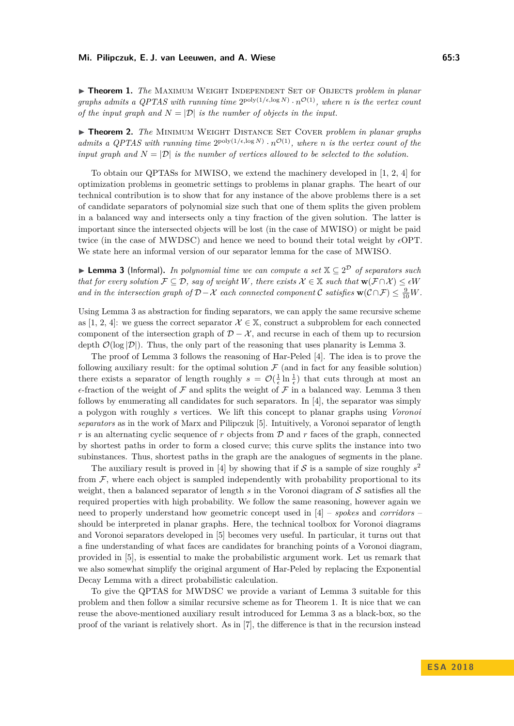<span id="page-2-1"></span>**Finder 1.** *The* MAXIMUM WEIGHT INDEPENDENT SET OF OBJECTS *problem in planar graphs admits a QPTAS with running time*  $2^{poly(1/\epsilon, \log N)} \cdot n^{\mathcal{O}(1)}$ , where *n is the vertex count of the input graph and*  $N = |\mathcal{D}|$  *is the number of objects in the input.* 

<span id="page-2-2"></span>**Finds 7.** *The MINIMUM WEIGHT DISTANCE SET COVER problem in planar graphs admits a QPTAS with running time*  $2^{poly(1/\epsilon, \log N)} \cdot n^{\mathcal{O}(1)}$ , where *n is the vertex count of the input graph and*  $N = |\mathcal{D}|$  *is the number of vertices allowed to be selected to the solution.* 

To obtain our QPTASs for MWISO, we extend the machinery developed in [\[1,](#page-12-0) [2,](#page-12-1) [4\]](#page-12-2) for optimization problems in geometric settings to problems in planar graphs. The heart of our technical contribution is to show that for any instance of the above problems there is a set of candidate separators of polynomial size such that one of them splits the given problem in a balanced way and intersects only a tiny fraction of the given solution. The latter is important since the intersected objects will be lost (in the case of MWISO) or might be paid twice (in the case of MWDSC) and hence we need to bound their total weight by  $\epsilon$ OPT. We state here an informal version of our separator lemma for the case of MWISO.

<span id="page-2-0"></span>▶ Lemma 3 (Informal). *In polynomial time we can compute a set*  $X \subseteq 2^D$  *of separators such that for every solution*  $\mathcal{F} \subseteq \mathcal{D}$ *, say of weight W, there exists*  $\mathcal{X} \in \mathbb{X}$  *such that*  $\mathbf{w}(\mathcal{F} \cap \mathcal{X}) \leq \epsilon W$ *and in the intersection graph of*  $D - X$  *each connected component* C *satisfies*  $\mathbf{w}(\mathcal{C} \cap \mathcal{F}) \leq \frac{9}{10}W$ *.* 

Using Lemma [3](#page-2-0) as abstraction for finding separators, we can apply the same recursive scheme as [\[1,](#page-12-0) [2,](#page-12-1) [4\]](#page-12-2): we guess the correct separator  $\mathcal{X} \in \mathbb{X}$ , construct a subproblem for each connected component of the intersection graph of  $\mathcal{D} - \mathcal{X}$ , and recurse in each of them up to recursion depth  $\mathcal{O}(\log |\mathcal{D}|)$ . Thus, the only part of the reasoning that uses planarity is Lemma [3.](#page-2-0)

The proof of Lemma [3](#page-2-0) follows the reasoning of Har-Peled [\[4\]](#page-12-2). The idea is to prove the following auxiliary result: for the optimal solution  $\mathcal F$  (and in fact for any feasible solution) there exists a separator of length roughly  $s = \mathcal{O}(\frac{1}{\epsilon} \ln \frac{1}{\epsilon})$  that cuts through at most an  $\epsilon$ -fraction of the weight of  $\mathcal F$  and splits the weight of  $\mathcal F$  in a balanced way. Lemma [3](#page-2-0) then follows by enumerating all candidates for such separators. In [\[4\]](#page-12-2), the separator was simply a polygon with roughly *s* vertices. We lift this concept to planar graphs using *Voronoi separators* as in the work of Marx and Pilipczuk [\[5\]](#page-12-4). Intuitively, a Voronoi separator of length *r* is an alternating cyclic sequence of *r* objects from D and *r* faces of the graph, connected by shortest paths in order to form a closed curve; this curve splits the instance into two subinstances. Thus, shortest paths in the graph are the analogues of segments in the plane.

The auxiliary result is proved in [\[4\]](#page-12-2) by showing that if  $S$  is a sample of size roughly  $s^2$ from  $\mathcal F$ , where each object is sampled independently with probability proportional to its weight, then a balanced separator of length *s* in the Voronoi diagram of S satisfies all the required properties with high probability. We follow the same reasoning, however again we need to properly understand how geometric concept used in [\[4\]](#page-12-2) – *spokes* and *corridors* – should be interpreted in planar graphs. Here, the technical toolbox for Voronoi diagrams and Voronoi separators developed in [\[5\]](#page-12-4) becomes very useful. In particular, it turns out that a fine understanding of what faces are candidates for branching points of a Voronoi diagram, provided in [\[5\]](#page-12-4), is essential to make the probabilistic argument work. Let us remark that we also somewhat simplify the original argument of Har-Peled by replacing the Exponential Decay Lemma with a direct probabilistic calculation.

To give the QPTAS for MWDSC we provide a variant of Lemma [3](#page-2-0) suitable for this problem and then follow a similar recursive scheme as for Theorem [1.](#page-2-1) It is nice that we can reuse the above-mentioned auxiliary result introduced for Lemma [3](#page-2-0) as a black-box, so the proof of the variant is relatively short. As in [\[7\]](#page-12-5), the difference is that in the recursion instead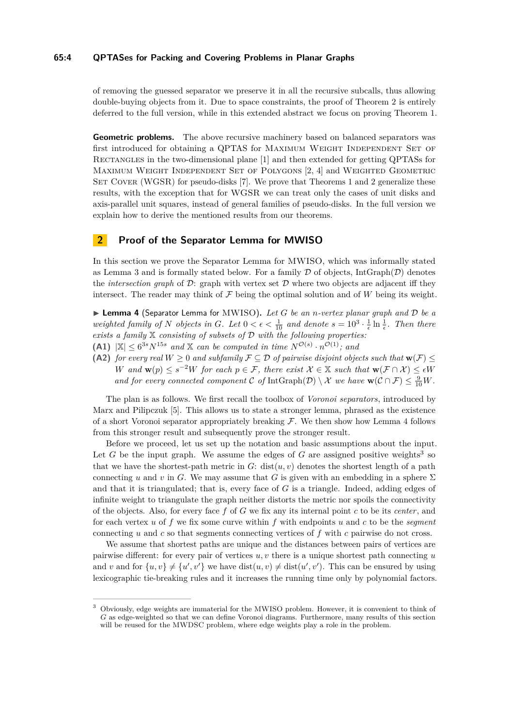#### **65:4 QPTASes for Packing and Covering Problems in Planar Graphs**

of removing the guessed separator we preserve it in all the recursive subcalls, thus allowing double-buying objects from it. Due to space constraints, the proof of Theorem [2](#page-2-2) is entirely deferred to the full version, while in this extended abstract we focus on proving Theorem [1.](#page-2-1)

**Geometric problems.** The above recursive machinery based on balanced separators was first introduced for obtaining a QPTAS for MAXIMUM WEIGHT INDEPENDENT SET OF Rectangles in the two-dimensional plane [\[1\]](#page-12-0) and then extended for getting QPTASs for Maximum Weight Independent Set of Polygons [\[2,](#page-12-1) [4\]](#page-12-2) and Weighted Geometric SET COVER (WGSR) for pseudo-disks [\[7\]](#page-12-5). We prove that Theorems [1](#page-2-1) and [2](#page-2-2) generalize these results, with the exception that for WGSR we can treat only the cases of unit disks and axis-parallel unit squares, instead of general families of pseudo-disks. In the full version we explain how to derive the mentioned results from our theorems.

# **2 Proof of the Separator Lemma for MWISO**

In this section we prove the Separator Lemma for MWISO, which was informally stated as Lemma [3](#page-2-0) and is formally stated below. For a family  $D$  of objects, IntGraph( $D$ ) denotes the *intersection graph* of  $D$ : graph with vertex set  $D$  where two objects are adjacent iff they intersect. The reader may think of  $\mathcal F$  being the optimal solution and of  $W$  being its weight.

<span id="page-3-0"></span>I **Lemma 4** (Separator Lemma for MWISO)**.** *Let G be an n-vertex planar graph and* D *be a* weighted family of *N* objects in *G*. Let  $0 < \epsilon < \frac{1}{10}$  and denote  $s = 10^3 \cdot \frac{1}{\epsilon} \ln \frac{1}{\epsilon}$ . Then there *exists a family* X *consisting of subsets of* D *with the following properties:*

**(A1)**  $|\mathbb{X}| \leq 6^{3s} N^{15s}$  and X can be computed in time  $N^{\mathcal{O}(s)} \cdot n^{\mathcal{O}(1)}$ ; and

**(A2)** *for every real*  $W \ge 0$  *and subfamily*  $\mathcal{F} \subseteq \mathcal{D}$  *of pairwise disjoint objects such that*  $\mathbf{w}(\mathcal{F}) \le$ *W* and  $\mathbf{w}(p) \leq s^{-2}W$  for each  $p \in \mathcal{F}$ , there exist  $\mathcal{X} \in \mathbb{X}$  such that  $\mathbf{w}(\mathcal{F} \cap \mathcal{X}) \leq \epsilon W$ *and for every connected component*  $\mathcal C$  *of* IntGraph $(\mathcal D) \setminus \mathcal X$  *we have*  $\mathbf w(\mathcal C \cap \mathcal F) \leq \frac{9}{10}W$ *.* 

The plan is as follows. We first recall the toolbox of *Voronoi separators*, introduced by Marx and Pilipczuk [\[5\]](#page-12-4). This allows us to state a stronger lemma, phrased as the existence of a short Voronoi separator appropriately breaking  $\mathcal{F}$ . We then show how Lemma [4](#page-3-0) follows from this stronger result and subsequently prove the stronger result.

Before we proceed, let us set up the notation and basic assumptions about the input. Let  $G$  be the input graph. We assume the edges of  $G$  are assigned positive weights<sup>[3](#page-3-1)</sup> so that we have the shortest-path metric in  $G$ : dist $(u, v)$  denotes the shortest length of a path connecting *u* and *v* in *G*. We may assume that *G* is given with an embedding in a sphere  $\Sigma$ and that it is triangulated; that is, every face of *G* is a triangle. Indeed, adding edges of infinite weight to triangulate the graph neither distorts the metric nor spoils the connectivity of the objects. Also, for every face *f* of *G* we fix any its internal point *c* to be its *center*, and for each vertex *u* of *f* we fix some curve within *f* with endpoints *u* and *c* to be the *segment* connecting *u* and *c* so that segments connecting vertices of *f* with *c* pairwise do not cross.

We assume that shortest paths are unique and the distances between pairs of vertices are pairwise different: for every pair of vertices *u, v* there is a unique shortest path connecting *u* and *v* and for  $\{u, v\} \neq \{u', v'\}$  we have  $dist(u, v) \neq dist(u', v')$ . This can be ensured by using lexicographic tie-breaking rules and it increases the running time only by polynomial factors.

<span id="page-3-1"></span><sup>3</sup> Obviously, edge weights are immaterial for the MWISO problem. However, it is convenient to think of *G* as edge-weighted so that we can define Voronoi diagrams. Furthermore, many results of this section will be reused for the MWDSC problem, where edge weights play a role in the problem.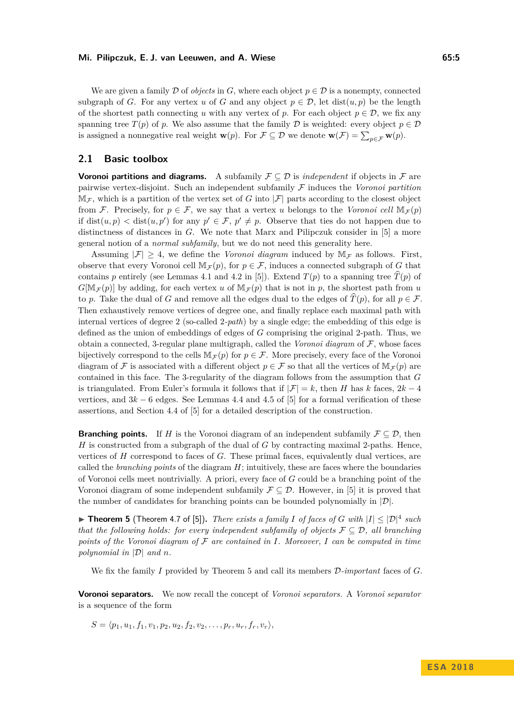#### **Mi. Pilipczuk, E. J. van Leeuwen, and A. Wiese 65:5**

We are given a family  $\mathcal D$  of *objects* in  $G$ , where each object  $p \in \mathcal D$  is a nonempty, connected subgraph of *G*. For any vertex *u* of *G* and any object  $p \in \mathcal{D}$ , let  $dist(u, p)$  be the length of the shortest path connecting *u* with any vertex of *p*. For each object  $p \in \mathcal{D}$ , we fix any spanning tree  $T(p)$  of *p*. We also assume that the family  $D$  is weighted: every object  $p \in D$ is assigned a nonnegative real weight **w**(*p*). For  $\mathcal{F} \subseteq \mathcal{D}$  we denote  $\mathbf{w}(\mathcal{F}) = \sum_{p \in \mathcal{F}} \mathbf{w}(p)$ .

## **2.1 Basic toolbox**

**Voronoi partitions and diagrams.** A subfamily  $\mathcal{F} \subseteq \mathcal{D}$  is *independent* if objects in  $\mathcal{F}$  are pairwise vertex-disjoint. Such an independent subfamily F induces the *Voronoi partition*  $\mathbb{M}_{\mathcal{F}}$ , which is a partition of the vertex set of *G* into  $|\mathcal{F}|$  parts according to the closest object from F. Precisely, for  $p \in \mathcal{F}$ , we say that a vertex *u* belongs to the *Voronoi cell*  $\mathbb{M}_{\mathcal{F}}(p)$ if dist $(u, p) <$  dist $(u, p')$  for any  $p' \in \mathcal{F}$ ,  $p' \neq p$ . Observe that ties do not happen due to distinctness of distances in *G*. We note that Marx and Pilipczuk consider in [\[5\]](#page-12-4) a more general notion of a *normal subfamily*, but we do not need this generality here.

Assuming  $|\mathcal{F}| \geq 4$ , we define the *Voronoi diagram* induced by  $\mathbb{M}_{\mathcal{F}}$  as follows. First, observe that every Voronoi cell  $\mathbb{M}_{\mathcal{F}}(p)$ , for  $p \in \mathcal{F}$ , induces a connected subgraph of *G* that contains *p* entirely (see Lemmas 4.1 and 4.2 in [\[5\]](#page-12-4)). Extend  $T(p)$  to a spanning tree  $\hat{T}(p)$  of  $G[\mathbb{M}_F(p)]$  by adding, for each vertex *u* of  $\mathbb{M}_F(p)$  that is not in *p*, the shortest path from *u* to *p*. Take the dual of *G* and remove all the edges dual to the edges of  $\hat{T}(p)$ , for all  $p \in \mathcal{F}$ . Then exhaustively remove vertices of degree one, and finally replace each maximal path with internal vertices of degree 2 (so-called 2*-path*) by a single edge; the embedding of this edge is defined as the union of embeddings of edges of *G* comprising the original 2-path. Thus, we obtain a connected, 3-regular plane multigraph, called the *Voronoi diagram* of F, whose faces bijectively correspond to the cells  $M_{\mathcal{F}}(p)$  for  $p \in \mathcal{F}$ . More precisely, every face of the Voronoi diagram of F is associated with a different object  $p \in \mathcal{F}$  so that all the vertices of  $\mathbb{M}_{\mathcal{F}}(p)$  are contained in this face. The 3-regularity of the diagram follows from the assumption that *G* is triangulated. From Euler's formula it follows that if  $|\mathcal{F}| = k$ , then *H* has *k* faces,  $2k - 4$ vertices, and  $3k - 6$  edges. See Lemmas 4.4 and 4.5 of [\[5\]](#page-12-4) for a formal verification of these assertions, and Section 4.4 of [\[5\]](#page-12-4) for a detailed description of the construction.

**Branching points.** If *H* is the Voronoi diagram of an independent subfamily  $\mathcal{F} \subseteq \mathcal{D}$ , then *H* is constructed from a subgraph of the dual of *G* by contracting maximal 2-paths. Hence, vertices of *H* correspond to faces of *G*. These primal faces, equivalently dual vertices, are called the *branching points* of the diagram *H*; intuitively, these are faces where the boundaries of Voronoi cells meet nontrivially. A priori, every face of *G* could be a branching point of the Voronoi diagram of some independent subfamily  $\mathcal{F} \subseteq \mathcal{D}$ . However, in [\[5\]](#page-12-4) it is proved that the number of candidates for branching points can be bounded polynomially in  $|\mathcal{D}|$ .

<span id="page-4-0"></span>**Figure 1.1 5** (Theorem 4.7 of [\[5\]](#page-12-4)). *There exists a family I of faces of G with*  $|I| \leq |\mathcal{D}|^4$  *such that the following holds: for every independent subfamily of objects*  $\mathcal{F} \subseteq \mathcal{D}$ , all branching *points of the Voronoi diagram of*  $F$  *are contained in*  $I$ *. Moreover,*  $I$  *can be computed in time polynomial in* |D| *and n.*

We fix the family *I* provided by Theorem [5](#page-4-0) and call its members D*-important* faces of *G*.

**Voronoi separators.** We now recall the concept of *Voronoi separators*. A *Voronoi separator* is a sequence of the form

 $S = \langle p_1, u_1, f_1, v_1, p_2, u_2, f_2, v_2, \ldots, p_r, u_r, f_r, v_r \rangle$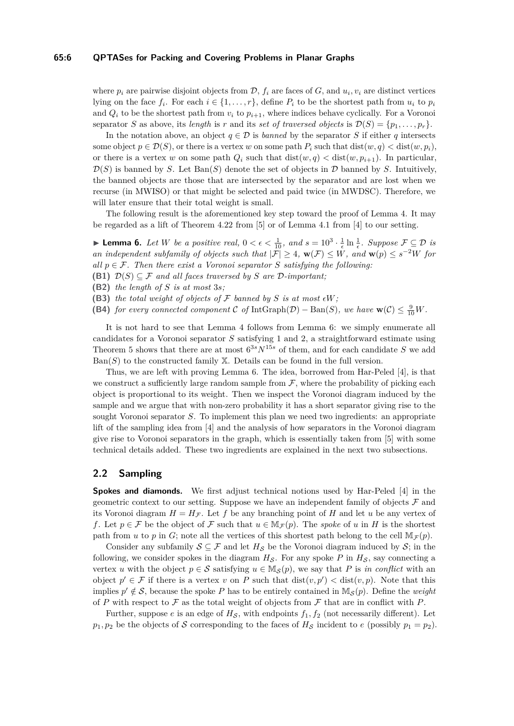#### **65:6 QPTASes for Packing and Covering Problems in Planar Graphs**

where  $p_i$  are pairwise disjoint objects from  $\mathcal{D}$ ,  $f_i$  are faces of  $G$ , and  $u_i, v_i$  are distinct vertices lying on the face  $f_i$ . For each  $i \in \{1, \ldots, r\}$ , define  $P_i$  to be the shortest path from  $u_i$  to  $p_i$ and  $Q_i$  to be the shortest path from  $v_i$  to  $p_{i+1}$ , where indices behave cyclically. For a Voronoi separator *S* as above, its *length* is *r* and its *set of traversed objects* is  $\mathcal{D}(S) = \{p_1, \ldots, p_r\}.$ 

In the notation above, an object  $q \in \mathcal{D}$  is *banned* by the separator *S* if either *q* intersects some object  $p \in \mathcal{D}(S)$ , or there is a vertex *w* on some path  $P_i$  such that  $dist(w, q) < dist(w, p_i)$ , or there is a vertex *w* on some path  $Q_i$  such that  $dist(w, q) < dist(w, p_{i+1})$ . In particular,  $\mathcal{D}(S)$  is banned by *S*. Let  $Ban(S)$  denote the set of objects in  $\mathcal D$  banned by *S*. Intuitively, the banned objects are those that are intersected by the separator and are lost when we recurse (in MWISO) or that might be selected and paid twice (in MWDSC). Therefore, we will later ensure that their total weight is small.

The following result is the aforementioned key step toward the proof of Lemma [4.](#page-3-0) It may be regarded as a lift of Theorem 4.22 from [\[5\]](#page-12-4) or of Lemma 4.1 from [\[4\]](#page-12-2) to our setting.

<span id="page-5-0"></span>**► Lemma 6.** Let W be a positive real,  $0 < \epsilon < \frac{1}{10}$ , and  $s = 10^3 \cdot \frac{1}{\epsilon} \ln \frac{1}{\epsilon}$ . Suppose  $\mathcal{F} \subseteq \mathcal{D}$  is *an independent subfamily of objects such that*  $|\mathcal{F}| \geq 4$ ,  $\mathbf{w}(\mathcal{F}) \leq W$ , and  $\mathbf{w}(p) \leq s^{-2}W$  for *all*  $p \in \mathcal{F}$ . Then there exist a Voronoi separator *S* satisfying the following:

- <span id="page-5-1"></span>**(B1)**  $\mathcal{D}(S) \subseteq \mathcal{F}$  *and all faces traversed by S are*  $\mathcal{D}$ *-important:*
- <span id="page-5-2"></span>**(B2)** *the length of S is at most* 3*s;*
- (B3) the total weight of objects of  $\mathcal F$  banned by  $S$  is at most  $\epsilon W$ ;
- **(B4)** *for every connected component* C *of* IntGraph(D) Ban(S), we have  $\mathbf{w}(\mathcal{C}) \leq \frac{9}{10}W$ .

It is not hard to see that Lemma [4](#page-3-0) follows from Lemma [6:](#page-5-0) we simply enumerate all candidates for a Voronoi separator *S* satisfying [1](#page-5-1) and [2,](#page-5-2) a straightforward estimate using Theorem [5](#page-4-0) shows that there are at most 6 <sup>3</sup>*sN*15*<sup>s</sup>* of them, and for each candidate *S* we add  $Ban(S)$  to the constructed family  $X$ . Details can be found in the full version.

Thus, we are left with proving Lemma [6.](#page-5-0) The idea, borrowed from Har-Peled [\[4\]](#page-12-2), is that we construct a sufficiently large random sample from  $\mathcal{F}$ , where the probability of picking each object is proportional to its weight. Then we inspect the Voronoi diagram induced by the sample and we argue that with non-zero probability it has a short separator giving rise to the sought Voronoi separator *S*. To implement this plan we need two ingredients: an appropriate lift of the sampling idea from [\[4\]](#page-12-2) and the analysis of how separators in the Voronoi diagram give rise to Voronoi separators in the graph, which is essentially taken from [\[5\]](#page-12-4) with some technical details added. These two ingredients are explained in the next two subsections.

## **2.2 Sampling**

**Spokes and diamonds.** We first adjust technical notions used by Har-Peled [\[4\]](#page-12-2) in the geometric context to our setting. Suppose we have an independent family of objects  $\mathcal F$  and its Voronoi diagram  $H = H_{\mathcal{F}}$ . Let f be any branching point of H and let u be any vertex of *f*. Let  $p \in \mathcal{F}$  be the object of  $\mathcal{F}$  such that  $u \in \mathbb{M}_{\mathcal{F}}(p)$ . The *spoke* of *u* in *H* is the shortest path from *u* to *p* in *G*; note all the vertices of this shortest path belong to the cell  $\mathbb{M}_{\mathcal{F}}(p)$ .

Consider any subfamily  $S \subseteq \mathcal{F}$  and let  $H_S$  be the Voronoi diagram induced by S; in the following, we consider spokes in the diagram  $H_S$ . For any spoke  $P$  in  $H_S$ , say connecting a vertex *u* with the object  $p \in \mathcal{S}$  satisfying  $u \in M_{\mathcal{S}}(p)$ , we say that P is *in conflict* with an object  $p' \in \mathcal{F}$  if there is a vertex *v* on *P* such that  $dist(v, p') < dist(v, p)$ . Note that this implies  $p' \notin \mathcal{S}$ , because the spoke P has to be entirely contained in  $\mathbb{M}_{\mathcal{S}}(p)$ . Define the *weight* of *P* with respect to  $\mathcal F$  as the total weight of objects from  $\mathcal F$  that are in conflict with *P*.

Further, suppose *e* is an edge of  $H<sub>S</sub>$ , with endpoints  $f<sub>1</sub>, f<sub>2</sub>$  (not necessarily different). Let  $p_1, p_2$  be the objects of S corresponding to the faces of  $H_S$  incident to *e* (possibly  $p_1 = p_2$ ).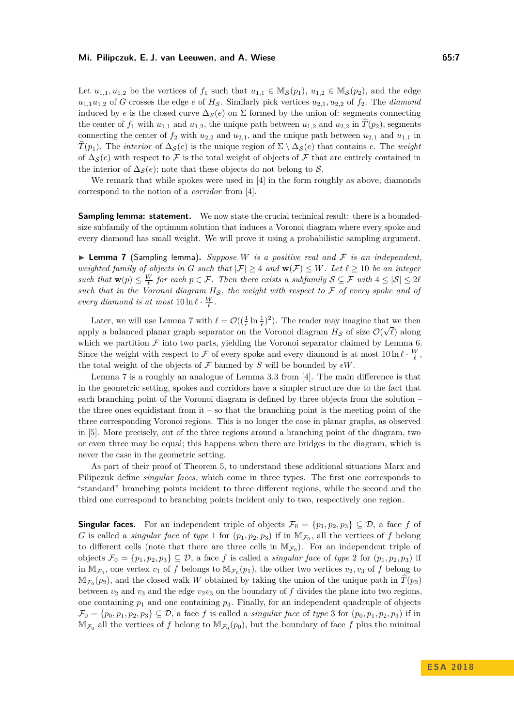#### **Mi. Pilipczuk, E. J. van Leeuwen, and A. Wiese 65:7**

Let  $u_{1,1}, u_{1,2}$  be the vertices of  $f_1$  such that  $u_{1,1} \in M_{\mathcal{S}}(p_1), u_{1,2} \in M_{\mathcal{S}}(p_2)$ , and the edge  $u_{1,1}u_{1,2}$  of *G* crosses the edge *e* of *H<sub>S</sub>*. Similarly pick vertices  $u_{2,1}, u_{2,2}$  of  $f_2$ . The *diamond* induced by *e* is the closed curve  $\Delta_{\mathcal{S}}(e)$  on  $\Sigma$  formed by the union of: segments connecting the center of  $f_1$  with  $u_{1,1}$  and  $u_{1,2}$ , the unique path between  $u_{1,2}$  and  $u_{2,2}$  in  $\hat{T}(p_2)$ , segments connecting the center of  $f_2$  with  $u_{2,2}$  and  $u_{2,1}$ , and the unique path between  $u_{2,1}$  and  $u_{1,1}$  in  $T(p_1)$ . The *interior* of  $\Delta_S(e)$  is the unique region of  $\Sigma \setminus \Delta_S(e)$  that contains *e*. The *weight* of  $\Delta_{\mathcal{S}}(e)$  with respect to F is the total weight of objects of F that are entirely contained in the interior of  $\Delta_{\mathcal{S}}(e)$ ; note that these objects do not belong to S.

We remark that while spokes were used in [\[4\]](#page-12-2) in the form roughly as above, diamonds correspond to the notion of a *corridor* from [\[4\]](#page-12-2).

**Sampling lemma: statement.** We now state the crucial technical result: there is a boundedsize subfamily of the optimum solution that induces a Voronoi diagram where every spoke and every diamond has small weight. We will prove it using a probabilistic sampling argument.

<span id="page-6-0"></span>**I Lemma 7** (Sampling lemma). Suppose W is a positive real and  $\mathcal F$  is an independent, *weighted family of objects in G such that*  $|\mathcal{F}| \geq 4$  *and*  $\mathbf{w}(\mathcal{F}) \leq W$ *. Let*  $\ell \geq 10$  *be an integer such that*  $\mathbf{w}(p) \leq \frac{W}{\ell}$  *for each*  $p \in \mathcal{F}$ *. Then there exists a subfamily*  $S \subseteq \mathcal{F}$  *with*  $4 \leq |\mathcal{S}| \leq 2\ell$ *such that in the Voronoi diagram*  $H_S$ , the weight with respect to  $\mathcal F$  of every spoke and of *every diamond is at most*  $10 \ln \ell \cdot \frac{W}{\ell}$ .

Later, we will use Lemma [7](#page-6-0) with  $\ell = \mathcal{O}((\frac{1}{\epsilon} \ln \frac{1}{\epsilon})^2)$ . The reader may imagine that we then apply a balanced planar graph separator on the Voronoi diagram  $H_{\mathcal{S}}$  of size  $\mathcal{O}(\sqrt{\ell})$  along which we partition  $\mathcal F$  into two parts, yielding the Voronoi separator claimed by Lemma [6.](#page-5-0) Since the weight with respect to  $\mathcal F$  of every spoke and every diamond is at most  $10 \ln \ell \cdot \frac{W}{\ell}$ , the total weight of the objects of  $\mathcal F$  banned by  $S$  will be bounded by  $\epsilon W$ .

Lemma [7](#page-6-0) is a roughly an analogue of Lemma 3.3 from [\[4\]](#page-12-2). The main difference is that in the geometric setting, spokes and corridors have a simpler structure due to the fact that each branching point of the Voronoi diagram is defined by three objects from the solution – the three ones equidistant from  $it - so$  that the branching point is the meeting point of the three corresponding Voronoi regions. This is no longer the case in planar graphs, as observed in [\[5\]](#page-12-4). More precisely, out of the three regions around a branching point of the diagram, two or even three may be equal; this happens when there are bridges in the diagram, which is never the case in the geometric setting.

As part of their proof of Theorem [5,](#page-4-0) to understand these additional situations Marx and Pilipczuk define *singular faces*, which come in three types. The first one corresponds to "standard" branching points incident to three different regions, while the second and the third one correspond to branching points incident only to two, respectively one region.

**Singular faces.** For an independent triple of objects  $\mathcal{F}_0 = \{p_1, p_2, p_3\} \subseteq \mathcal{D}$ , a face f of *G* is called a *singular face* of *type* 1 for  $(p_1, p_2, p_3)$  if in  $\mathbb{M}_{\mathcal{F}_0}$ , all the vertices of *f* belong to different cells (note that there are three cells in  $\mathbb{M}_{\mathcal{F}_0}$ ). For an independent triple of objects  $\mathcal{F}_0 = \{p_1, p_2, p_3\} \subseteq \mathcal{D}$ , a face f is called a *singular face* of *type* 2 for  $(p_1, p_2, p_3)$  if in  $\mathbb{M}_{\mathcal{F}_0}$ , one vertex  $v_1$  of f belongs to  $\mathbb{M}_{\mathcal{F}_0}(p_1)$ , the other two vertices  $v_2, v_3$  of f belong to  $\mathbb{M}_{\mathcal{F}_0}(p_2)$ , and the closed walk *W* obtained by taking the union of the unique path in  $\widehat{T}(p_2)$ between  $v_2$  and  $v_3$  and the edge  $v_2v_3$  on the boundary of f divides the plane into two regions, one containing  $p_1$  and one containing  $p_3$ . Finally, for an independent quadruple of objects  $\mathcal{F}_0 = \{p_0, p_1, p_2, p_3\} \subseteq \mathcal{D}$ , a face f is called a *singular face* of type 3 for  $(p_0, p_1, p_2, p_3)$  if in  $M_{\mathcal{F}_0}$  all the vertices of f belong to  $M_{\mathcal{F}_0}(p_0)$ , but the boundary of face f plus the minimal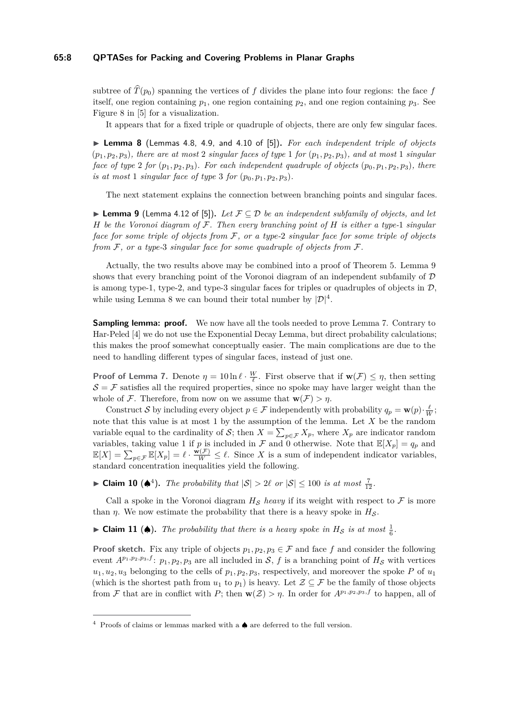#### **65:8 QPTASes for Packing and Covering Problems in Planar Graphs**

subtree of  $\widehat{T}(p_0)$  spanning the vertices of *f* divides the plane into four regions: the face *f* itself, one region containing  $p_1$ , one region containing  $p_2$ , and one region containing  $p_3$ . See Figure 8 in [\[5\]](#page-12-4) for a visualization.

It appears that for a fixed triple or quadruple of objects, there are only few singular faces.

<span id="page-7-1"></span>▶ Lemma 8 (Lemmas 4.8, 4.9, and 4.10 of [\[5\]](#page-12-4)). For each independent triple of objects  $(p_1, p_2, p_3)$ *, there are at most* 2 *singular faces of type* 1 *for*  $(p_1, p_2, p_3)$ *, and at most* 1 *singular face of type* 2 *for*  $(p_1, p_2, p_3)$ *. For each independent quadruple of objects*  $(p_0, p_1, p_2, p_3)$ *, there is at most* 1 *singular face of type* 3 *for*  $(p_0, p_1, p_2, p_3)$ *.* 

The next statement explains the connection between branching points and singular faces.

<span id="page-7-0"></span>I **Lemma 9** (Lemma 4.12 of [\[5\]](#page-12-4))**.** *Let* F ⊆ D *be an independent subfamily of objects, and let H be the Voronoi diagram of* F*. Then every branching point of H is either a type-*1 *singular face for some triple of objects from* F*, or a type-*2 *singular face for some triple of objects from* F*, or a type-*3 *singular face for some quadruple of objects from* F*.*

Actually, the two results above may be combined into a proof of Theorem [5.](#page-4-0) Lemma [9](#page-7-0) shows that every branching point of the Voronoi diagram of an independent subfamily of  $D$ is among type-1, type-2, and type-3 singular faces for triples or quadruples of objects in  $\mathcal{D}$ , while using Lemma [8](#page-7-1) we can bound their total number by  $|\mathcal{D}|^4$ .

**Sampling lemma: proof.** We now have all the tools needed to prove Lemma [7.](#page-6-0) Contrary to Har-Peled [\[4\]](#page-12-2) we do not use the Exponential Decay Lemma, but direct probability calculations; this makes the proof somewhat conceptually easier. The main complications are due to the need to handling different types of singular faces, instead of just one.

**Proof of Lemma [7.](#page-6-0)** Denote  $\eta = 10 \ln \ell \cdot \frac{W}{\ell}$ . First observe that if  $\mathbf{w}(\mathcal{F}) \leq \eta$ , then setting  $S = \mathcal{F}$  satisfies all the required properties, since no spoke may have larger weight than the whole of F. Therefore, from now on we assume that  $\mathbf{w}(\mathcal{F}) > \eta$ .

Construct S by including every object  $p \in \mathcal{F}$  independently with probability  $q_p = \mathbf{w}(p) \cdot \frac{\ell}{W}$ ; note that this value is at most 1 by the assumption of the lemma. Let *X* be the random variable equal to the cardinality of S; then  $X = \sum_{p \in \mathcal{F}} X_p$ , where  $X_p$  are indicator random variables, taking value 1 if *p* is included in  $\mathcal F$  and 0 otherwise. Note that  $\mathbb E[X_p] = q_p$  and  $\mathbb{E}[X] = \sum_{p \in \mathcal{F}} \mathbb{E}[X_p] = \ell \cdot \frac{\mathbf{w}(\mathcal{F})}{W} \leq \ell$ . Since X is a sum of independent indicator variables, standard concentration inequalities yield the following.

▶ **Claim 10 (♦**<sup>[4](#page-7-2)</sup>). The probability that  $|S| > 2\ell$  or  $|S| \le 100$  is at most  $\frac{7}{12}$ .

Call a spoke in the Voronoi diagram  $H_S$  *heavy* if its weight with respect to  $\mathcal F$  is more than *η*. We now estimate the probability that there is a heavy spoke in  $H_S$ .

<span id="page-7-3"></span>► Claim 11 (♦). The probability that there is a heavy spoke in  $H_S$  is at most  $\frac{1}{6}$ .

**Proof sketch.** Fix any triple of objects  $p_1, p_2, p_3 \in \mathcal{F}$  and face f and consider the following event  $A^{p_1,p_2,p_3,f}$ :  $p_1,p_2,p_3$  are all included in S, f is a branching point of  $H_S$  with vertices  $u_1, u_2, u_3$  belonging to the cells of  $p_1, p_2, p_3$ , respectively, and moreover the spoke *P* of  $u_1$ (which is the shortest path from  $u_1$  to  $p_1$ ) is heavy. Let  $\mathcal{Z} \subseteq \mathcal{F}$  be the family of those objects from F that are in conflict with P; then  $\mathbf{w}(Z) > \eta$ . In order for  $A^{p_1,p_2,p_3,f}$  to happen, all of

<span id="page-7-2"></span> $4$  Proofs of claims or lemmas marked with a  $\spadesuit$  are deferred to the full version.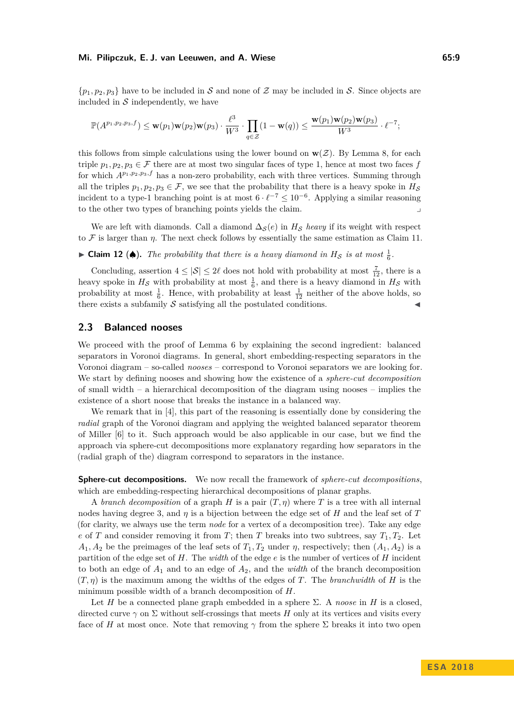#### **Mi. Pilipczuk, E. J. van Leeuwen, and A. Wiese 65:9**

 $\{p_1, p_2, p_3\}$  have to be included in S and none of Z may be included in S. Since objects are included in  $\mathcal S$  independently, we have

$$
\mathbb{P}(A^{p_1,p_2,p_3,f}) \leq \mathbf{w}(p_1)\mathbf{w}(p_2)\mathbf{w}(p_3) \cdot \frac{\ell^3}{W^3} \cdot \prod_{q \in \mathcal{Z}} (1-\mathbf{w}(q)) \leq \frac{\mathbf{w}(p_1)\mathbf{w}(p_2)\mathbf{w}(p_3)}{W^3} \cdot \ell^{-7};
$$

this follows from simple calculations using the lower bound on  $w(Z)$ . By Lemma [8,](#page-7-1) for each triple  $p_1, p_2, p_3 \in \mathcal{F}$  there are at most two singular faces of type 1, hence at most two faces *f* for which  $A^{p_1,p_2,p_3,f}$  has a non-zero probability, each with three vertices. Summing through all the triples  $p_1, p_2, p_3 \in \mathcal{F}$ , we see that the probability that there is a heavy spoke in  $H_{\mathcal{S}}$ incident to a type-1 branching point is at most  $6 \cdot \ell^{-7} \leq 10^{-6}$ . Applying a similar reasoning to the other two types of branching points yields the claim.

We are left with diamonds. Call a diamond  $\Delta_S(e)$  in  $H_S$  *heavy* if its weight with respect to  $\mathcal F$  is larger than  $\eta$ . The next check follows by essentially the same estimation as Claim [11.](#page-7-3)

# ► Claim 12 (♦). The probability that there is a heavy diamond in  $H_S$  is at most  $\frac{1}{6}$ .

Concluding, assertion  $4 \leq |\mathcal{S}| \leq 2\ell$  does not hold with probability at most  $\frac{7}{12}$ , there is a heavy spoke in  $H_{\mathcal{S}}$  with probability at most  $\frac{1}{6}$ , and there is a heavy diamond in  $H_{\mathcal{S}}$  with probability at most  $\frac{1}{6}$ . Hence, with probability at least  $\frac{1}{12}$  neither of the above holds, so there exists a subfamily  $\mathcal S$  satisfying all the postulated conditions.

## **2.3 Balanced nooses**

We proceed with the proof of Lemma [6](#page-5-0) by explaining the second ingredient: balanced separators in Voronoi diagrams. In general, short embedding-respecting separators in the Voronoi diagram – so-called *nooses* – correspond to Voronoi separators we are looking for. We start by defining nooses and showing how the existence of a *sphere-cut decomposition* of small width – a hierarchical decomposition of the diagram using nooses – implies the existence of a short noose that breaks the instance in a balanced way.

We remark that in [\[4\]](#page-12-2), this part of the reasoning is essentially done by considering the *radial* graph of the Voronoi diagram and applying the weighted balanced separator theorem of Miller [\[6\]](#page-12-6) to it. Such approach would be also applicable in our case, but we find the approach via sphere-cut decompositions more explanatory regarding how separators in the (radial graph of the) diagram correspond to separators in the instance.

**Sphere-cut decompositions.** We now recall the framework of *sphere-cut decompositions*, which are embedding-respecting hierarchical decompositions of planar graphs.

A *branch decomposition* of a graph *H* is a pair (*T, η*) where *T* is a tree with all internal nodes having degree 3, and  $\eta$  is a bijection between the edge set of *H* and the leaf set of *T* (for clarity, we always use the term *node* for a vertex of a decomposition tree). Take any edge *e* of *T* and consider removing it from *T*; then *T* breaks into two subtrees, say  $T_1, T_2$ . Let  $A_1, A_2$  be the preimages of the leaf sets of  $T_1, T_2$  under  $\eta$ , respectively; then  $(A_1, A_2)$  is a partition of the edge set of *H*. The *width* of the edge *e* is the number of vertices of *H* incident to both an edge of *A*<sup>1</sup> and to an edge of *A*2, and the *width* of the branch decomposition  $(T, \eta)$  is the maximum among the widths of the edges of *T*. The *branchwidth* of *H* is the minimum possible width of a branch decomposition of *H*.

Let *H* be a connected plane graph embedded in a sphere  $\Sigma$ . A *noose* in *H* is a closed. directed curve  $\gamma$  on  $\Sigma$  without self-crossings that meets *H* only at its vertices and visits every face of *H* at most once. Note that removing  $\gamma$  from the sphere  $\Sigma$  breaks it into two open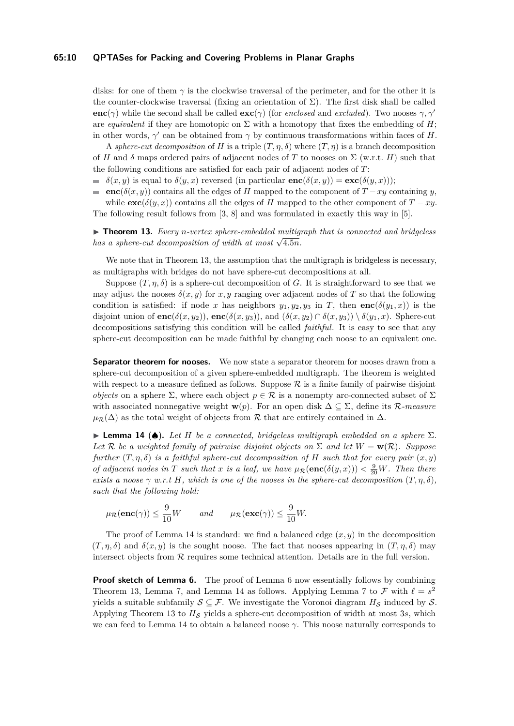#### **65:10 QPTASes for Packing and Covering Problems in Planar Graphs**

disks: for one of them  $\gamma$  is the clockwise traversal of the perimeter, and for the other it is the counter-clockwise traversal (fixing an orientation of  $\Sigma$ ). The first disk shall be called **enc**( $\gamma$ ) while the second shall be called **exc**( $\gamma$ ) (for *enclosed* and *excluded*). Two nooses  $\gamma$ ,  $\gamma'$ are *equivalent* if they are homotopic on  $\Sigma$  with a homotopy that fixes the embedding of *H*; in other words,  $\gamma'$  can be obtained from  $\gamma$  by continuous transformations within faces of *H*.

A *sphere-cut decomposition* of *H* is a triple  $(T, \eta, \delta)$  where  $(T, \eta)$  is a branch decomposition of *H* and  $\delta$  maps ordered pairs of adjacent nodes of *T* to nooses on  $\Sigma$  (w.r.t. *H*) such that the following conditions are satisfied for each pair of adjacent nodes of *T*:

- $\delta(x, y)$  is equal to  $\delta(y, x)$  reversed (in particular  $\mathbf{enc}(\delta(x, y)) = \mathbf{exc}(\delta(y, x))$ );
- **enc**( $\delta(x, y)$ ) contains all the edges of *H* mapped to the component of *T* − *xy* containing *y*, ÷. while  $\mathbf{exc}(\delta(y, x))$  contains all the edges of *H* mapped to the other component of *T* − *xy*. The following result follows from [\[3,](#page-12-7) [8\]](#page-12-8) and was formulated in exactly this way in [\[5\]](#page-12-4).

<span id="page-9-0"></span>▶ **Theorem 13.** *Every n-vertex sphere-embedded multigraph that is connected and bridgeless has a sphere-cut decomposition of width at most*  $\sqrt{4.5n}$ .

We note that in Theorem [13,](#page-9-0) the assumption that the multigraph is bridgeless is necessary, as multigraphs with bridges do not have sphere-cut decompositions at all.

Suppose  $(T, \eta, \delta)$  is a sphere-cut decomposition of *G*. It is straightforward to see that we may adjust the nooses  $\delta(x, y)$  for x, y ranging over adjacent nodes of T so that the following condition is satisfied: if node *x* has neighbors  $y_1, y_2, y_3$  in *T*, then **enc**( $\delta(y_1, x)$ ) is the disjoint union of  $\mathbf{enc}(\delta(x, y_2))$ ,  $\mathbf{enc}(\delta(x, y_3))$ , and  $(\delta(x, y_2) \cap \delta(x, y_3)) \setminus \delta(y_1, x)$ . Sphere-cut decompositions satisfying this condition will be called *faithful*. It is easy to see that any sphere-cut decomposition can be made faithful by changing each noose to an equivalent one.

**Separator theorem for nooses.** We now state a separator theorem for nooses drawn from a sphere-cut decomposition of a given sphere-embedded multigraph. The theorem is weighted with respect to a measure defined as follows. Suppose  $\mathcal R$  is a finite family of pairwise disjoint *objects* on a sphere  $\Sigma$ , where each object  $p \in \mathcal{R}$  is a nonempty arc-connected subset of  $\Sigma$ with associated nonnegative weight **w**(*p*). For an open disk  $\Delta \subseteq \Sigma$ , define its R-measure  $\mu_{\mathcal{R}}(\Delta)$  as the total weight of objects from R that are entirely contained in  $\Delta$ .

<span id="page-9-1"></span>**Lemma 14 (** $\spadesuit$ **).** Let *H* be a connected, bridgeless multigraph embedded on a sphere  $\Sigma$ . Let R *be a weighted family of pairwise disjoint objects on*  $\Sigma$  *and let*  $W = \mathbf{w}(\mathcal{R})$ *. Suppose further*  $(T, \eta, \delta)$  *is a faithful sphere-cut decomposition of H such that for every pair*  $(x, y)$ *of adjacent nodes in T such that x is a leaf, we have*  $\mu_{\mathcal{R}}(\mathbf{enc}(\delta(y,x))) < \frac{9}{20}W$ *. Then there exists a noose*  $\gamma$  *w.r.t H, which is one of the nooses in the sphere-cut decomposition*  $(T, \eta, \delta)$ *, such that the following hold:*

$$
\mu_{\mathcal{R}}(\mathbf{enc}(\gamma)) \leq \frac{9}{10}W
$$
 and  $\mu_{\mathcal{R}}(\mathbf{exc}(\gamma)) \leq \frac{9}{10}W.$ 

The proof of Lemma [14](#page-9-1) is standard: we find a balanced edge  $(x, y)$  in the decomposition  $(T, \eta, \delta)$  and  $\delta(x, y)$  is the sought noose. The fact that nooses appearing in  $(T, \eta, \delta)$  may intersect objects from  $R$  requires some technical attention. Details are in the full version.

**Proof sketch of Lemma [6.](#page-5-0)** The proof of Lemma [6](#page-5-0) now essentially follows by combining Theorem [13,](#page-9-0) Lemma [7,](#page-6-0) and Lemma [14](#page-9-1) as follows. Applying Lemma [7](#page-6-0) to  $\mathcal F$  with  $\ell = s^2$ yields a suitable subfamily  $S \subseteq \mathcal{F}$ . We investigate the Voronoi diagram  $H_S$  induced by S. Applying Theorem [13](#page-9-0) to  $H<sub>S</sub>$  yields a sphere-cut decomposition of width at most 3*s*, which we can feed to Lemma [14](#page-9-1) to obtain a balanced noose *γ*. This noose naturally corresponds to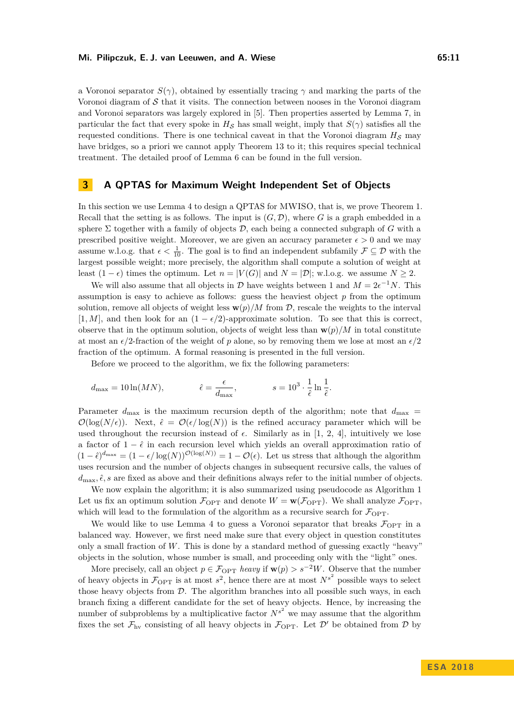a Voronoi separator  $S(\gamma)$ , obtained by essentially tracing  $\gamma$  and marking the parts of the Voronoi diagram of  $\mathcal S$  that it visits. The connection between nooses in the Voronoi diagram and Voronoi separators was largely explored in [\[5\]](#page-12-4). Then properties asserted by Lemma [7,](#page-6-0) in particular the fact that every spoke in  $H_S$  has small weight, imply that  $S(\gamma)$  satisfies all the requested conditions. There is one technical caveat in that the Voronoi diagram  $H_S$  may have bridges, so a priori we cannot apply Theorem [13](#page-9-0) to it; this requires special technical treatment. The detailed proof of Lemma [6](#page-5-0) can be found in the full version.

# **3 A QPTAS for Maximum Weight Independent Set of Objects**

In this section we use Lemma [4](#page-3-0) to design a QPTAS for MWISO, that is, we prove Theorem [1.](#page-2-1) Recall that the setting is as follows. The input is  $(G, \mathcal{D})$ , where *G* is a graph embedded in a sphere  $\Sigma$  together with a family of objects  $\mathcal{D}$ , each being a connected subgraph of *G* with a prescribed positive weight. Moreover, we are given an accuracy parameter  $\epsilon > 0$  and we may assume w.l.o.g. that  $\epsilon < \frac{1}{10}$ . The goal is to find an independent subfamily  $\mathcal{F} \subseteq \mathcal{D}$  with the largest possible weight; more precisely, the algorithm shall compute a solution of weight at least  $(1 - \epsilon)$  times the optimum. Let  $n = |V(G)|$  and  $N = |D|$ ; w.l.o.g. we assume  $N \ge 2$ .

We will also assume that all objects in  $D$  have weights between 1 and  $M = 2\epsilon^{-1}N$ . This assumption is easy to achieve as follows: guess the heaviest object  $p$  from the optimum solution, remove all objects of weight less  $\mathbf{w}(p)/M$  from  $\mathcal{D}$ , rescale the weights to the interval [1, *M*], and then look for an  $(1 - \epsilon/2)$ -approximate solution. To see that this is correct, observe that in the optimum solution, objects of weight less than  $\mathbf{w}(p)/M$  in total constitute at most an  $\epsilon/2$ -fraction of the weight of p alone, so by removing them we lose at most an  $\epsilon/2$ fraction of the optimum. A formal reasoning is presented in the full version.

Before we proceed to the algorithm, we fix the following parameters:

$$
d_{\max} = 10 \ln(MN), \qquad \hat{\epsilon} = \frac{\epsilon}{d_{\max}}, \qquad s = 10^3 \cdot \frac{1}{\hat{\epsilon}} \ln \frac{1}{\hat{\epsilon}}.
$$

Parameter  $d_{\text{max}}$  is the maximum recursion depth of the algorithm; note that  $d_{\text{max}} =$  $\mathcal{O}(\log(N/\epsilon))$ . Next,  $\hat{\epsilon} = \mathcal{O}(\epsilon/\log(N))$  is the refined accuracy parameter which will be used throughout the recursion instead of  $\epsilon$ . Similarly as in [\[1,](#page-12-0) [2,](#page-12-1) [4\]](#page-12-2), intuitively we lose a factor of  $1 - \hat{\epsilon}$  in each recursion level which yields an overall approximation ratio of  $(1 - \hat{\epsilon})^{d_{\max}} = (1 - \epsilon/\log(N))^{O(\log(N))} = 1 - O(\epsilon)$ . Let us stress that although the algorithm uses recursion and the number of objects changes in subsequent recursive calls, the values of  $d_{\text{max}}$ ,  $\hat{\epsilon}$ , s are fixed as above and their definitions always refer to the initial number of objects.

We now explain the algorithm; it is also summarized using pseudocode as Algorithm [1](#page-11-0) Let us fix an optimum solution  $\mathcal{F}_{\text{OPT}}$  and denote  $W = \mathbf{w}(\mathcal{F}_{\text{OPT}})$ . We shall analyze  $\mathcal{F}_{\text{OPT}}$ , which will lead to the formulation of the algorithm as a recursive search for  $\mathcal{F}_{\text{OPT}}$ .

We would like to use Lemma [4](#page-3-0) to guess a Voronoi separator that breaks  $\mathcal{F}_{\text{OPT}}$  in a balanced way. However, we first need make sure that every object in question constitutes only a small fraction of *W*. This is done by a standard method of guessing exactly "heavy" objects in the solution, whose number is small, and proceeding only with the "light" ones.

More precisely, call an object  $p \in \mathcal{F}_{\text{OPT}}$  *heavy* if  $\mathbf{w}(p) > s^{-2}W$ . Observe that the number of heavy objects in  $\mathcal{F}_{\text{OPT}}$  is at most  $s^2$ , hence there are at most  $N^{s^2}$  possible ways to select those heavy objects from  $D$ . The algorithm branches into all possible such ways, in each branch fixing a different candidate for the set of heavy objects. Hence, by increasing the number of subproblems by a multiplicative factor  $N^{s^2}$  we may assume that the algorithm fixes the set  $\mathcal{F}_{hv}$  consisting of all heavy objects in  $\mathcal{F}_{OPT}$ . Let  $\mathcal{D}'$  be obtained from  $\mathcal{D}$  by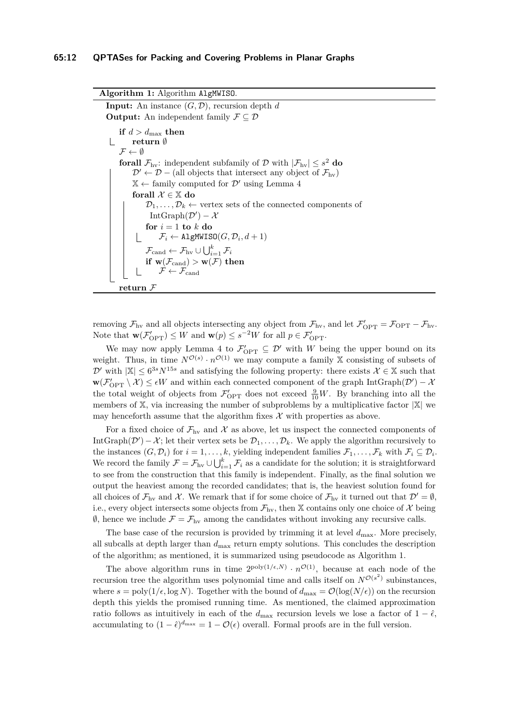**Algorithm 1:** Algorithm AlgMWISO. **Input:** An instance  $(G, \mathcal{D})$ , recursion depth *d* **Output:** An independent family  $\mathcal{F} \subseteq \mathcal{D}$ **if**  $d > d_{\text{max}}$  **then**  $\mathbb{R}$ **return** ∅  $\mathcal{F} \leftarrow \emptyset$ **forall**  $\mathcal{F}_{hv}$ : independent subfamily of D with  $|\mathcal{F}_{hv}| \leq s^2$  **do**  $\mathcal{D}' \leftarrow \mathcal{D}$  – (all objects that intersect any object of  $\mathcal{F}_{hv}$ )  $\mathbb{X} \leftarrow$  family computed for  $\mathcal{D}'$  using Lemma [4](#page-3-0) **forall**  $\mathcal{X} \in \mathbb{X}$  **do**  $\mathcal{D}_1, \ldots, \mathcal{D}_k \leftarrow$  vertex sets of the connected components of  $IntGraph(D') - X$  $f$ *or*  $i = 1$ *to* $k$ **<b>***do*  $\mathcal{F}_i \leftarrow \texttt{AlgMWISO}(G, \mathcal{D}_i, d+1)$  $\mathcal{F}_{\mathrm{cand}} \leftarrow \mathcal{F}_{\mathrm{hv}} \cup \bigcup_{i=1}^k \mathcal{F}_i$  $\textbf{if} \ \ \textbf{w}(\mathcal{F}_{\mathrm{cand}}) > \textbf{w}(\mathcal{F}) \ \textbf{then}$  $\mathcal{F} \leftarrow \mathcal{F}_{\mathrm{cand}}$ **return** F

<span id="page-11-0"></span>removing  $\mathcal{F}_{hv}$  and all objects intersecting any object from  $\mathcal{F}_{hv}$ , and let  $\mathcal{F}'_{OPT} = \mathcal{F}_{OPT} - \mathcal{F}_{hv}$ . Note that  $\mathbf{w}(\mathcal{F}_{\text{OPT}}') \leq W$  and  $\mathbf{w}(p) \leq s^{-2}W$  for all  $p \in \mathcal{F}_{\text{OPT}}'$ .

We may now apply Lemma [4](#page-3-0) to  $\mathcal{F}'_{\text{OPT}} \subseteq \mathcal{D}'$  with W being the upper bound on its weight. Thus, in time  $N^{\mathcal{O}(s)} \cdot n^{\mathcal{O}(1)}$  we may compute a family X consisting of subsets of  $\mathcal{D}'$  with  $|\mathbb{X}| \leq 6^{3s} N^{15s}$  and satisfying the following property: there exists  $\mathcal{X} \in \mathbb{X}$  such that  $w(\mathcal{F}_{\text{OPT}}' \setminus \mathcal{X}) \leq \epsilon W$  and within each connected component of the graph  $\text{IntGraph}(\mathcal{D}') - \mathcal{X}$ the total weight of objects from  $\mathcal{F}'_{\text{OPT}}$  does not exceed  $\frac{9}{10}W$ . By branching into all the members of  $X$ , via increasing the number of subproblems by a multiplicative factor  $|X|$  we may henceforth assume that the algorithm fixes  $\mathcal X$  with properties as above.

For a fixed choice of  $\mathcal{F}_{hv}$  and X as above, let us inspect the connected components of IntGraph( $\mathcal{D}'$ ) –  $\mathcal{X}$ ; let their vertex sets be  $\mathcal{D}_1, \ldots, \mathcal{D}_k$ . We apply the algorithm recursively to the instances  $(G, \mathcal{D}_i)$  for  $i = 1, \ldots, k$ , yielding independent families  $\mathcal{F}_1, \ldots, \mathcal{F}_k$  with  $\mathcal{F}_i \subseteq \mathcal{D}_i$ . We record the family  $\mathcal{F} = \mathcal{F}_{hv} \cup \bigcup_{i=1}^k \mathcal{F}_i$  as a candidate for the solution; it is straightforward to see from the construction that this family is independent. Finally, as the final solution we output the heaviest among the recorded candidates; that is, the heaviest solution found for all choices of  $\mathcal{F}_{hv}$  and X. We remark that if for some choice of  $\mathcal{F}_{hv}$  it turned out that  $\mathcal{D}' = \emptyset$ , i.e., every object intersects some objects from  $\mathcal{F}_{hv}$ , then X contains only one choice of X being  $\emptyset$ , hence we include  $\mathcal{F} = \mathcal{F}_{hv}$  among the candidates without invoking any recursive calls.

The base case of the recursion is provided by trimming it at level  $d_{\text{max}}$ . More precisely, all subcalls at depth larger than  $d_{\text{max}}$  return empty solutions. This concludes the description of the algorithm; as mentioned, it is summarized using pseudocode as Algorithm [1.](#page-11-0)

The above algorithm runs in time  $2^{poly(1/\epsilon,N)} \cdot n^{\mathcal{O}(1)}$ , because at each node of the recursion tree the algorithm uses polynomial time and calls itself on  $N^{\mathcal{O}(s^2)}$  subinstances, where  $s = \text{poly}(1/\epsilon, \log N)$ . Together with the bound of  $d_{\text{max}} = \mathcal{O}(\log(N/\epsilon))$  on the recursion depth this yields the promised running time. As mentioned, the claimed approximation ratio follows as intuitively in each of the  $d_{\text{max}}$  recursion levels we lose a factor of  $1 - \hat{\epsilon}$ , accumulating to  $(1 - \hat{\epsilon})^{d_{\text{max}}} = 1 - \mathcal{O}(\epsilon)$  overall. Formal proofs are in the full version.